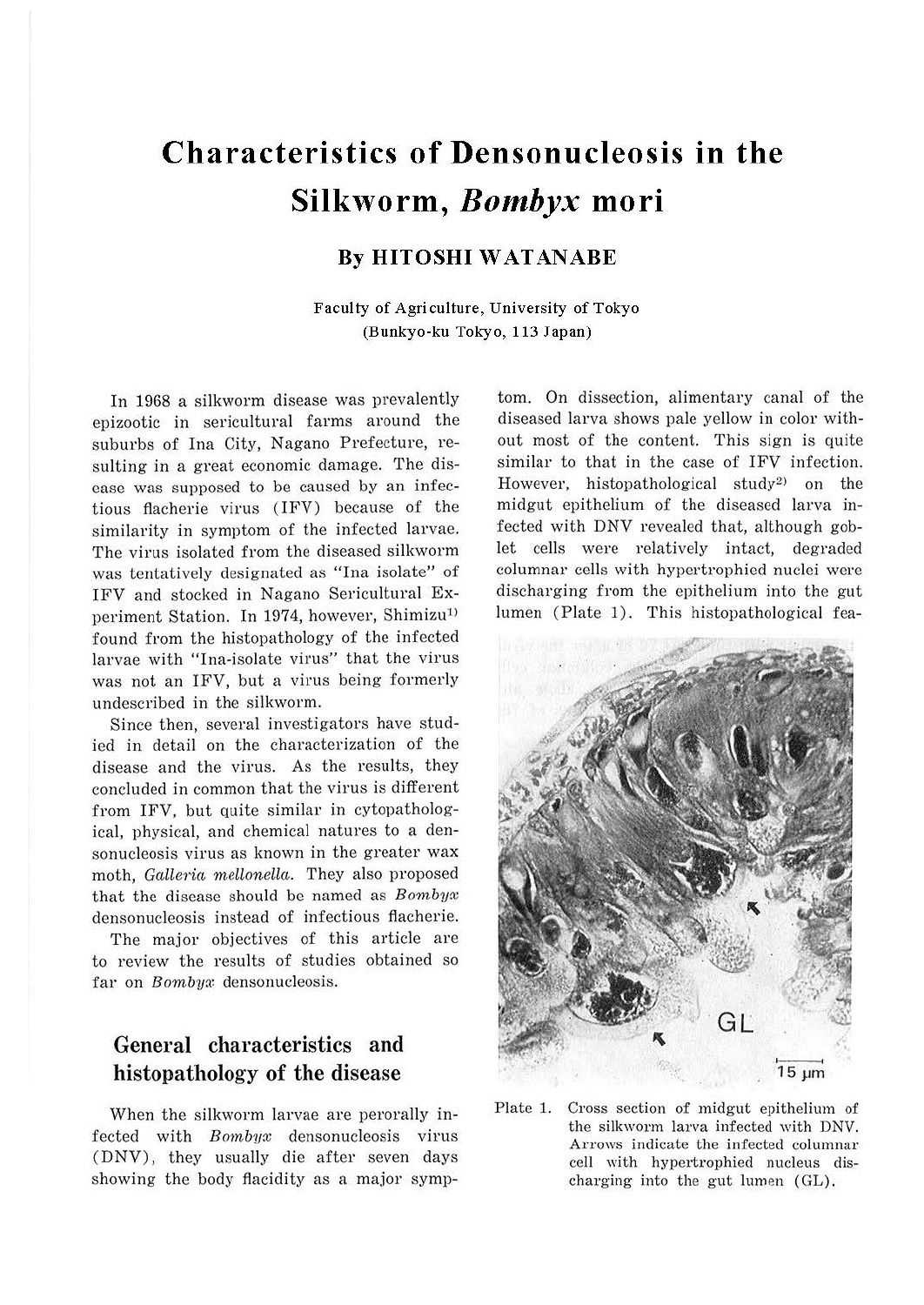# **Characteristics of Densonucleosis in the Silkworm,** *Bombyx* **mori**

#### **By HITOSHI WATANABE**

**Faculty of Agriculture, University of Tokyo (Bunkyo-ku Tokyo, 113 Japan)** 

In 1968 a silkworm disease was prevalently epizootic in sericultural farms around the suburbs of Ina City, Nagano Prefecture, resulting in a great economic damage. The disease was supposed to be caused by an infectious flacherie virus (IFV) because of the similarity in symptom of the infected larvae. The virus isolated from the diseased silkworm was tentatively designated as "Ina isolate" of IFV and stocked in Nagano Sericultural Experiment Station. In 1974, however, Shimizu<sup>1)</sup> found from the histopathology of the infected larvae with "Ina-isolate virus" that the virus was not an IFV, but a virus being formerly undescribed in the silkworm.

Since then, several investigators have studied in detail on the characterization of the disease and the virus. As the results, they concluded in common that the virus is different from IFV, but quite similar in cytopathological, physical, and chemical natures to a densonucleosis virus as known in the greater wax moth, *Galleria mellonella*. They also proposed that the disease should be named as *Bornbyx*  densonucleosis instead of infectious flacherie.

The major objectives of this article are to review the results of studies obtained so far on *Bombyx* densonucleosis.

## **General characteristics and histopathology of the disease**

When the silkworm larvae are perorally infected with *Bonibyx* densonucleosis virus (DNV), they usually die after seven days showing the body flacidity as a major symp-

tom. On dissection, alimentary canal of the diseased larva shows pale yellow in color without most of the content. This sign is quite similar to that in the case of IFV infection. However, histopathological study<sup>2)</sup> on the midgut epithelium of the diseased larva infected with DNV revealed that, although goblet cells were relatively intact, degraded columnar cells with hypertrophied nuclei were discharging from the epithelium into the gut lumen (Plate 1). This histopathological fea-



Plate 1. Cross section of midgut epithelium of the silkworm larva infected with DNV. Arrows indicate the infected columnar cell with hypertrophied nucleus discharging into the gut lumen (GL).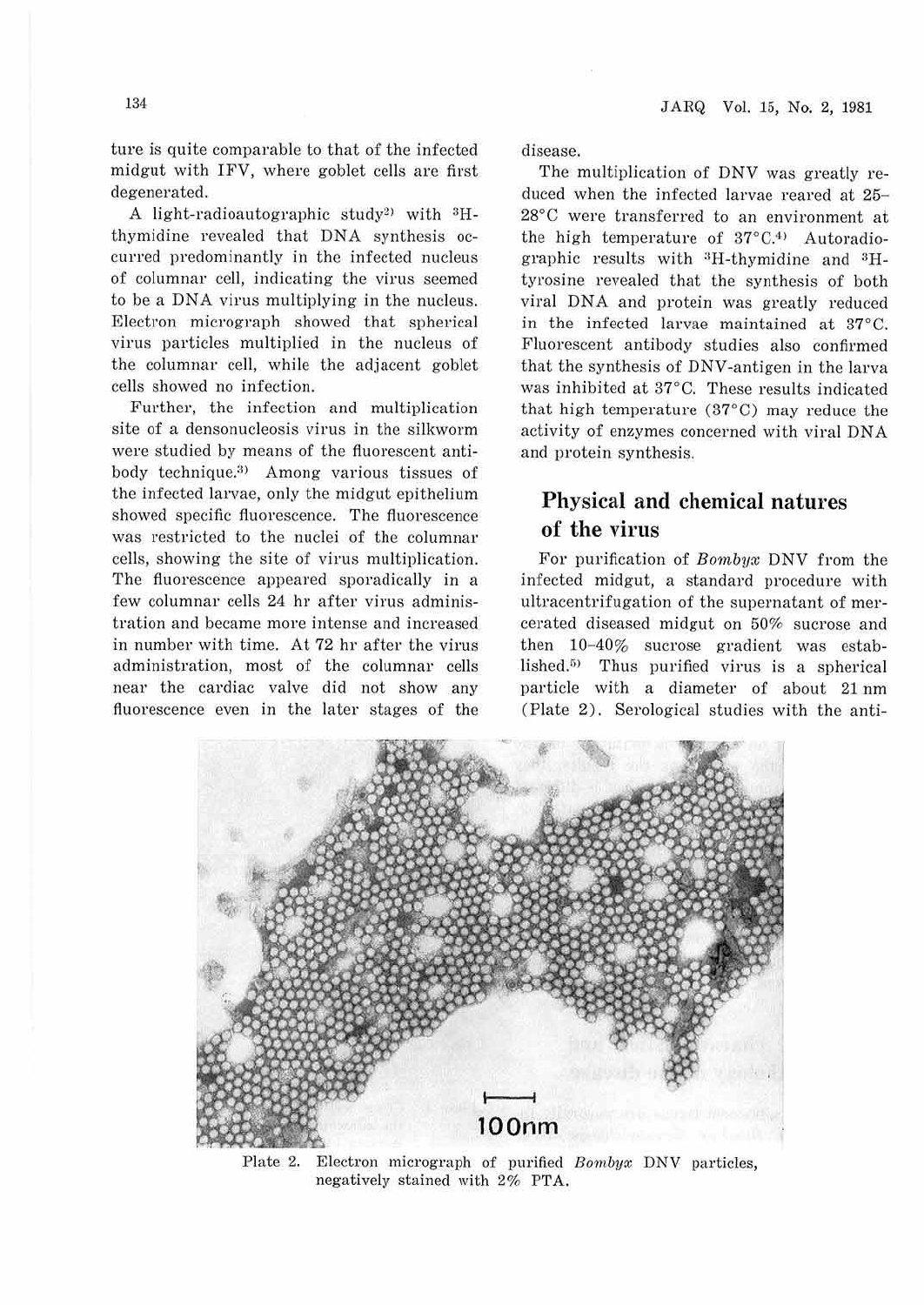ture is quite comparable to that of the infected midgut with IFV, where goblet cells are first degenerated.

A light-radioautographic study<sup>2)</sup> with  ${}^{3}H$ thymidine revealed that DNA synthesis occurred predominantly in the infected nucleus of columnar cell, indicating the virus seemed to be a DNA virus multiplying in the nucleus. Electron micrograph showed that spherical virus particles multiplied in the nucleus of the columnar cell, while the adjacent goblet cells showed no infection.

Further, the infection and multiplication site of a densonucleosis virus in the silkworm were studied by means of the fluorescent antibody technique.<sup>3)</sup> Among various tissues of the infected larvae, only the midgut epithelium showed specific fluorescence. The fluorescence was restricted to the nuclei of the columnar cells, showing the site of virus multiplication. The fluorescence appeared sporadically in a few columnar cells 24 hr after virus administration and became more intense and increased in number with time. At 72 hr after the virus administration, most of the columnar cells near the cardiac valve did not show any fluorescence even in the later stages of the

disease.

The multiplication of DNV was greatly reduced when the infected larvae reared at 25- 28°C were transferred to an environment at the high temperature of  $37^{\circ}C^{4}$  Autoradiographic results with <sup>3</sup>H-thymidine and <sup>3</sup>Htyrosine revealed that the synthesis of both viral DNA and protein was greatly reduced in the infected larvae maintained at 37°C. Fluorescent antibody studies also confirmed that the synthesis of DNV-antigen in the larva was inhibited at 37°C. These results indicated that high temperature (37°C) may reduce the activity of enzymes concerned with viral DNA and protein synthesis.

#### **Physical and chemical natures of the virus**

For purification of *Bombyx* DNV from the infected midgut, a standard procedure with ultracentrifugation of the supernatant of mercerated diseased midgut on 50% sucrose and then 10-40% sucrose gradient was established. $5$  Thus purified virus is a spherical particle with a diameter of about 21 nm (Plate 2). Serological studies with the anti-



Plate 2. Electron micrograph of purified *Bornbyx* DNV particles, negatively stained with 2% PTA.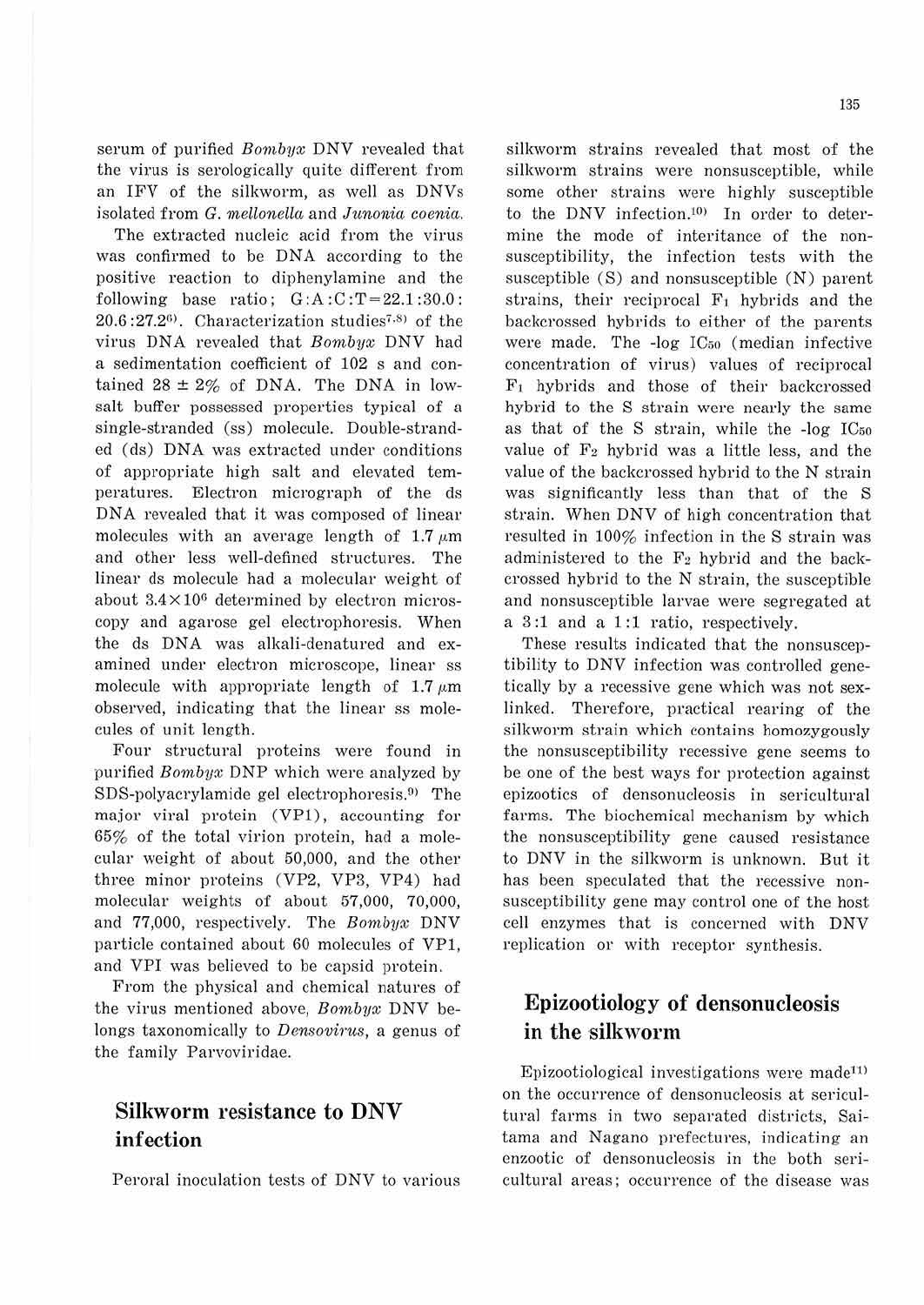135

serum of purified *Bombyx* DNV revealed that the virus is serologically quite different from an IFV of the silkworm, as well as DNVs isolated from G. mellonella and Junonia coenia.

The extracted nucleic acid from the virus was confirmed to be DNA according to the positive reaction to diphenylamine and the following base ratio;  $G:A:C:T=22.1:30.0$ :  $20.6:27.2<sup>6</sup>$ . Characterization studies<sup>7.8)</sup> of the virus DNA revealed that *Bonibyx* DNV had a sedimentation coefficient of 102 s and contained  $28 \pm 2\%$  of DNA. The DNA in lowsalt buffer possessed properties typical of a single-stranded (ss) molecule. Double-stranded (ds) DNA was extracted under conditions of appropriate high salt and elevated temperatures. Electron micrograph of the ds DNA revealed that it was composed of linear molecules with an average length of  $1.7 \mu m$ and other less well-defined structures. The linear ds molecule had a molecular weight of about  $3.4 \times 10^6$  determined by electron microscopy and agarose gel electrophoresis. When the ds DNA was alkali-denatured and examined under electron microscope, linear ss molecule with appropriate length of 1.7  $\mu$ m observed, indicating that the linear ss molecules of unit length.

Four structural proteins were found in purified *Bombyx* DNP which were analyzed by  $SDS-polyacrylamide$  gel electrophoresis.<sup>9)</sup> The major viral protein (VPl), accounting for 65% of the total virion protein, had a molecular weight of about 50,000, and the other three minor proteins (VP2, VP3, VP4) had molecular weights of about 57,000, 70,000, and 77,000, respectively. The *Bombyx* DNV particle contained about 60 molecules of VP1, and VPI was believed to be capsid protein.

From the physical and chemical natures of the virus mentioned above, *Bombux* DNV belongs taxonomically to *Densovirus*, a genus of the family Parvoviridae.

#### **Silkworm resistance to DNV infection**

Peroral inoculation tests of DNV to various

silkworm strains revealed that most of the silkworm strains were nonsusceptible, while some other strains were highly susceptible to the DNV infection.<sup>10)</sup> In order to determine the mode of interitance of the nonsusceptibility, the infection tests with the susceptible (S) and nonsusceptiblc (N) parent strains, their reciprocal  $F_1$  hybrids and the backcrossed hybrids to either of the parents were made. The -log ICso (median infective concentration of virus) values of reciprocal F1 hybrids and those of their backcrossed hybrid to the S strain were nearly the same as that of the S strain, while the -log IC5o value of  $F_2$  hybrid was a little less, and the value of the backcrossed hybrid to the N strain was significantly less than that of the S strain. When DNV of high concentration that resulted in 100% infection in the S strain was administered to the *F2* hybrid and the backcrossed hybrid to the N strain, the susceptible and nonsusceptible larvae were segregated at a 3 :1 and a 1 :1 ratio, respectively.

These results indicated that the nonsusceptibility to DNV infection was controlled genetically by a recessive gene which was not sexlinked. Therefore, practical rearing of the silkworm strain which contains homozygously the nonsusceptibility recessive gene seems to be one of the best ways for protection against epizootics of densonucleosis in sericultural farms. The biochemical mechanism by which the nonsusceptibility gene caused resistance to DNV in the silkworm is unknown. But it has been speculated that the recessive nonsusceptibility gene may control one of the host cell enzymes that is concerned with DNV replication or with receptor synthesis.

## **Epizootiology of densonucleosis**  in the silkworm

Epizootiological investigations were made<sup>11)</sup> on the occurrence of densonucleosis at sericultural farms in two separated districts, Saitama and Nagano prefectures, indicating an enzootic of densonucleosis in the both sericultural areas; occurrence of the disease was